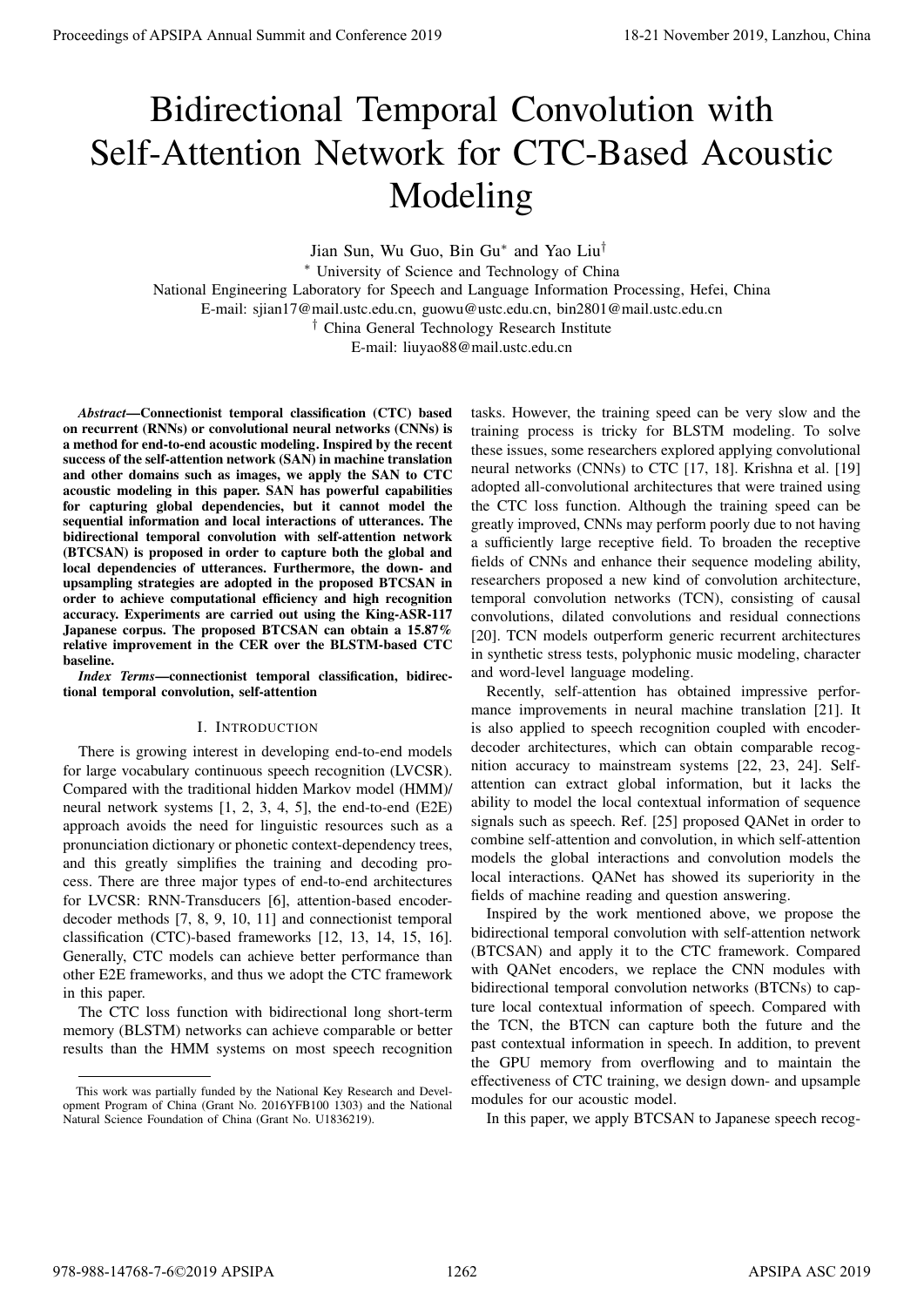# Bidirectional Temporal Convolution with Self-Attention Network for CTC-Based Acoustic Modeling

Jian Sun, Wu Guo, Bin Gu<sup>∗</sup> and Yao Liu†

<sup>∗</sup> University of Science and Technology of China

National Engineering Laboratory for Speech and Language Information Processing, Hefei, China

E-mail: sjian17@mail.ustc.edu.cn, guowu@ustc.edu.cn, bin2801@mail.ustc.edu.cn

† China General Technology Research Institute

E-mail: liuyao88@mail.ustc.edu.cn

*Abstract*—Connectionist temporal classification (CTC) based on recurrent (RNNs) or convolutional neural networks (CNNs) is a method for end-to-end acoustic modeling. Inspired by the recent success of the self-attention network (SAN) in machine translation and other domains such as images, we apply the SAN to CTC acoustic modeling in this paper. SAN has powerful capabilities for capturing global dependencies, but it cannot model the sequential information and local interactions of utterances. The bidirectional temporal convolution with self-attention network (BTCSAN) is proposed in order to capture both the global and local dependencies of utterances. Furthermore, the down- and upsampling strategies are adopted in the proposed BTCSAN in order to achieve computational efficiency and high recognition accuracy. Experiments are carried out using the King-ASR-117 Japanese corpus. The proposed BTCSAN can obtain a 15.87% relative improvement in the CER over the BLSTM-based CTC baseline.

*Index Terms*—connectionist temporal classification, bidirectional temporal convolution, self-attention

## I. INTRODUCTION

There is growing interest in developing end-to-end models for large vocabulary continuous speech recognition (LVCSR). Compared with the traditional hidden Markov model (HMM)/ neural network systems [1, 2, 3, 4, 5], the end-to-end (E2E) approach avoids the need for linguistic resources such as a pronunciation dictionary or phonetic context-dependency trees, and this greatly simplifies the training and decoding process. There are three major types of end-to-end architectures for LVCSR: RNN-Transducers [6], attention-based encoderdecoder methods [7, 8, 9, 10, 11] and connectionist temporal classification (CTC)-based frameworks [12, 13, 14, 15, 16]. Generally, CTC models can achieve better performance than other E2E frameworks, and thus we adopt the CTC framework in this paper.

The CTC loss function with bidirectional long short-term memory (BLSTM) networks can achieve comparable or better results than the HMM systems on most speech recognition

tasks. However, the training speed can be very slow and the training process is tricky for BLSTM modeling. To solve these issues, some researchers explored applying convolutional neural networks (CNNs) to CTC [17, 18]. Krishna et al. [19] adopted all-convolutional architectures that were trained using the CTC loss function. Although the training speed can be greatly improved, CNNs may perform poorly due to not having a sufficiently large receptive field. To broaden the receptive fields of CNNs and enhance their sequence modeling ability, researchers proposed a new kind of convolution architecture, temporal convolution networks (TCN), consisting of causal convolutions, dilated convolutions and residual connections [20]. TCN models outperform generic recurrent architectures in synthetic stress tests, polyphonic music modeling, character and word-level language modeling. **Proceedings of APSIPA Annual Summit at Conference 2019**<br> **Bidirectional Summit and Conference 2019**<br> **Bidirectional Summit and Conference 2019**<br> **Modelling**<br>
Summit and Conference 2019 18-21 November 2019 2019 2019 2019

Recently, self-attention has obtained impressive performance improvements in neural machine translation [21]. It is also applied to speech recognition coupled with encoderdecoder architectures, which can obtain comparable recognition accuracy to mainstream systems [22, 23, 24]. Selfattention can extract global information, but it lacks the ability to model the local contextual information of sequence signals such as speech. Ref. [25] proposed QANet in order to combine self-attention and convolution, in which self-attention models the global interactions and convolution models the local interactions. QANet has showed its superiority in the fields of machine reading and question answering.

Inspired by the work mentioned above, we propose the bidirectional temporal convolution with self-attention network (BTCSAN) and apply it to the CTC framework. Compared with QANet encoders, we replace the CNN modules with bidirectional temporal convolution networks (BTCNs) to capture local contextual information of speech. Compared with the TCN, the BTCN can capture both the future and the past contextual information in speech. In addition, to prevent the GPU memory from overflowing and to maintain the effectiveness of CTC training, we design down- and upsample modules for our acoustic model.

In this paper, we apply BTCSAN to Japanese speech recog-

This work was partially funded by the National Key Research and Development Program of China (Grant No. 2016YFB100 1303) and the National Natural Science Foundation of China (Grant No. U1836219).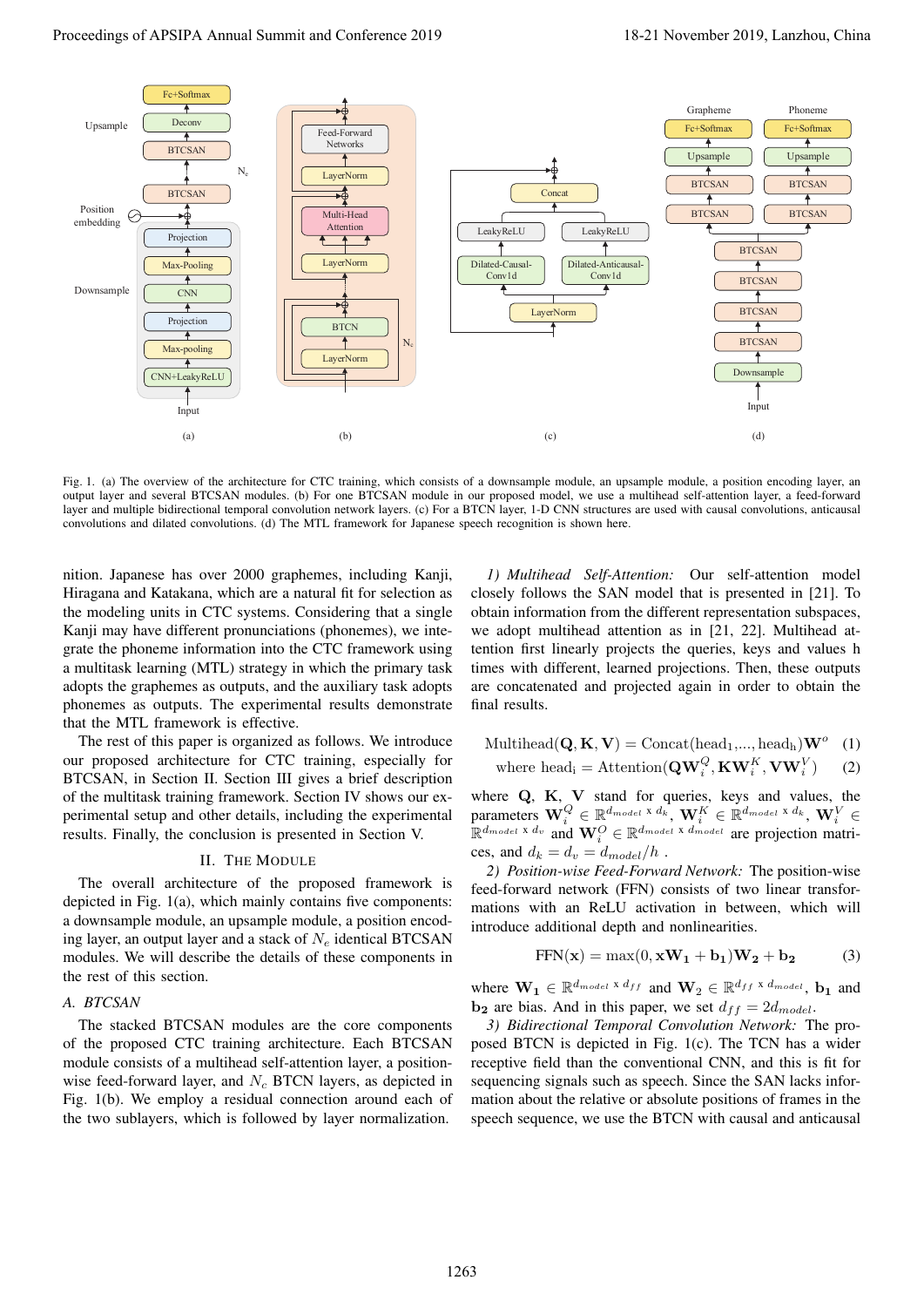

Fig. 1. (a) The overview of the architecture for CTC training, which consists of a downsample module, an upsample module, a position encoding layer, an output layer and several BTCSAN modules. (b) For one BTCSAN module in our proposed model, we use a multihead self-attention layer, a feed-forward layer and multiple bidirectional temporal convolution network layers. (c) For a BTCN layer, 1-D CNN structures are used with causal convolutions, anticausal convolutions and dilated convolutions. (d) The MTL framework for Japanese speech recognition is shown here.

nition. Japanese has over 2000 graphemes, including Kanji, Hiragana and Katakana, which are a natural fit for selection as the modeling units in CTC systems. Considering that a single Kanji may have different pronunciations (phonemes), we integrate the phoneme information into the CTC framework using a multitask learning (MTL) strategy in which the primary task adopts the graphemes as outputs, and the auxiliary task adopts phonemes as outputs. The experimental results demonstrate that the MTL framework is effective.

The rest of this paper is organized as follows. We introduce our proposed architecture for CTC training, especially for BTCSAN, in Section II. Section III gives a brief description of the multitask training framework. Section IV shows our experimental setup and other details, including the experimental results. Finally, the conclusion is presented in Section V.

## II. THE MODULE

The overall architecture of the proposed framework is depicted in Fig. 1(a), which mainly contains five components: a downsample module, an upsample module, a position encoding layer, an output layer and a stack of  $N_e$  identical BTCSAN modules. We will describe the details of these components in the rest of this section.

# *A. BTCSAN*

The stacked BTCSAN modules are the core components of the proposed CTC training architecture. Each BTCSAN module consists of a multihead self-attention layer, a positionwise feed-forward layer, and  $N_c$  BTCN layers, as depicted in Fig. 1(b). We employ a residual connection around each of the two sublayers, which is followed by layer normalization.

*1) Multihead Self-Attention:* Our self-attention model closely follows the SAN model that is presented in [21]. To obtain information from the different representation subspaces, we adopt multihead attention as in [21, 22]. Multihead attention first linearly projects the queries, keys and values h times with different, learned projections. Then, these outputs are concatenated and projected again in order to obtain the final results.

$$
\text{Multihead}(\mathbf{Q}, \mathbf{K}, \mathbf{V}) = \text{Concat}(\text{head}_1, ..., \text{head}_h) \mathbf{W}^o \quad (1)
$$
\n
$$
\text{where head}_i = \text{Attention}(\mathbf{Q}\mathbf{W}_i^Q, \mathbf{K}\mathbf{W}_i^K, \mathbf{V}\mathbf{W}_i^V) \quad (2)
$$

where  $Q$ ,  $K$ ,  $V$  stand for queries, keys and values, the parameters  $\mathbf{W}_i^Q \in \mathbb{R}^{d_{model} \times d_k}$ ,  $\mathbf{W}_i^K \in \mathbb{R}^{d_{model} \times d_k}$ ,  $\mathbf{W}_i^V \in$  $\mathbb{R}^{d_{model} \times d_v}$  and  $\mathbf{W}_i^O \in \mathbb{R}^{d_{model} \times d_{model}}$  are projection matrices, and  $d_k = d_v = d_{model}/h$ .

*2) Position-wise Feed-Forward Network:* The position-wise feed-forward network (FFN) consists of two linear transformations with an ReLU activation in between, which will introduce additional depth and nonlinearities.

$$
FFN(\mathbf{x}) = \max(0, \mathbf{x}W_1 + \mathbf{b}_1)W_2 + \mathbf{b}_2 \tag{3}
$$

where  $\mathbf{W_1} \in \mathbb{R}^{d_{model} \times d_{ff}}$  and  $\mathbf{W_2} \in \mathbb{R}^{d_{ff} \times d_{model}}$ ,  $\mathbf{b_1}$  and  **are bias. And in this paper, we set**  $d_{ff} = 2d_{model}$ **.** 

*3) Bidirectional Temporal Convolution Network:* The proposed BTCN is depicted in Fig. 1(c). The TCN has a wider receptive field than the conventional CNN, and this is fit for sequencing signals such as speech. Since the SAN lacks information about the relative or absolute positions of frames in the speech sequence, we use the BTCN with causal and anticausal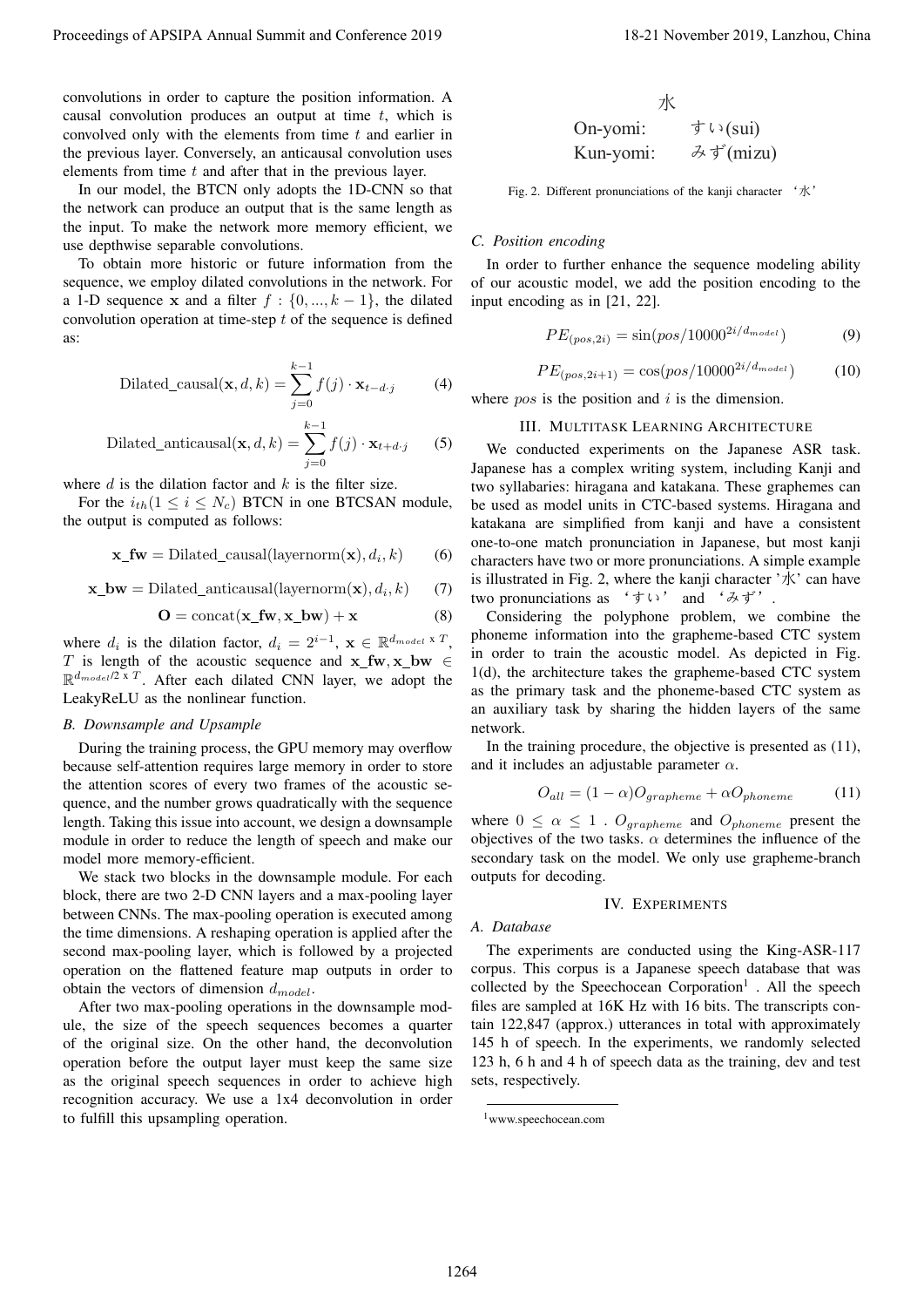In our model, the BTCN only adopts the 1D-CNN so that the network can produce an output that is the same length as the input. To make the network more memory efficient, we use depthwise separable convolutions.

To obtain more historic or future information from the sequence, we employ dilated convolutions in the network. For a 1-D sequence x and a filter  $f : \{0, ..., k-1\}$ , the dilated convolution operation at time-step  $t$  of the sequence is defined as:

Dilated\_causal
$$
(\mathbf{x}, d, k) = \sum_{j=0}^{k-1} f(j) \cdot \mathbf{x}_{t-d \cdot j}
$$
 (4)

Dilated\_anticausal
$$
(\mathbf{x}, d, k) = \sum_{j=0}^{k-1} f(j) \cdot \mathbf{x}_{t+d \cdot j}
$$
 (5)

where  $d$  is the dilation factor and  $k$  is the filter size.

For the  $i_{th}(1 \leq i \leq N_c)$  BTCN in one BTCSAN module, the output is computed as follows:

$$
\mathbf{x\_fw} = \text{Dilateral}(\text{layernorm}(\mathbf{x}), d_i, k) \tag{6}
$$

$$
\mathbf{x\_bw} = \text{Dilateral\_anticausal}(\text{layernorm}(\mathbf{x}), d_i, k) \tag{7}
$$

$$
O = \text{concat}(\mathbf{x\_fw}, \mathbf{x\_bw}) + \mathbf{x} \tag{8}
$$

where  $d_i$  is the dilation factor,  $d_i = 2^{i-1}$ ,  $\mathbf{x} \in \mathbb{R}^{d_{model} \times T}$ , T is length of the acoustic sequence and  $x$ <sub>I</sub> fw,  $x$ <sub>bw</sub>  $\in$  $\mathbb{R}^{d_{model}/2 \times T}$ . After each dilated CNN layer, we adopt the LeakyReLU as the nonlinear function.

#### *B. Downsample and Upsample*

During the training process, the GPU memory may overflow because self-attention requires large memory in order to store the attention scores of every two frames of the acoustic sequence, and the number grows quadratically with the sequence length. Taking this issue into account, we design a downsample module in order to reduce the length of speech and make our model more memory-efficient.

We stack two blocks in the downsample module. For each block, there are two 2-D CNN layers and a max-pooling layer between CNNs. The max-pooling operation is executed among the time dimensions. A reshaping operation is applied after the second max-pooling layer, which is followed by a projected operation on the flattened feature map outputs in order to obtain the vectors of dimension  $d_{model}$ .

After two max-pooling operations in the downsample module, the size of the speech sequences becomes a quarter of the original size. On the other hand, the deconvolution operation before the output layer must keep the same size as the original speech sequences in order to achieve high recognition accuracy. We use a 1x4 deconvolution in order to fulfill this upsampling operation.

\n
$$
\frac{\pi}{\sqrt{2}}
$$
\n  
\n On-yomi:  $\frac{\pi}{2} \cdot \frac{\pi}{2}$ \n  
\n Kun-yomi:  $\frac{\pi}{2} \cdot \frac{\pi}{2}$ \n  
\n (mizu)  $\frac{\pi}{2}$ \n

Fig. 2. Different pronunciations of the kanji character '水'

# *C. Position encoding*

In order to further enhance the sequence modeling ability of our acoustic model, we add the position encoding to the input encoding as in [21, 22].

$$
PE_{(pos, 2i)} = \sin(pos/10000^{2i/d_{model}})
$$
 (9)

$$
PE_{(pos, 2i+1)} = \cos(pos/10000^{2i/d_{model}})
$$
 (10)

where  $pos$  is the position and  $i$  is the dimension.

#### III. MULTITASK LEARNING ARCHITECTURE

We conducted experiments on the Japanese ASR task. Japanese has a complex writing system, including Kanji and two syllabaries: hiragana and katakana. These graphemes can be used as model units in CTC-based systems. Hiragana and katakana are simplified from kanji and have a consistent one-to-one match pronunciation in Japanese, but most kanji characters have two or more pronunciations. A simple example is illustrated in Fig. 2, where the kanii character  $\forall x$  can have two pronunciations as 'すい' and 'みず'. Proceedings of APSIPA Annual Summit and Conference 2019 18-21 November 2019 18-21 November 2019 18-21 November 2019 18-21 November 2019 18-21 November 2019 18-21 November 2019 18-21 November 2019 18-21 November 2019 18-21

Considering the polyphone problem, we combine the phoneme information into the grapheme-based CTC system in order to train the acoustic model. As depicted in Fig. 1(d), the architecture takes the grapheme-based CTC system as the primary task and the phoneme-based CTC system as an auxiliary task by sharing the hidden layers of the same network.

In the training procedure, the objective is presented as (11), and it includes an adjustable parameter  $\alpha$ .

$$
O_{all} = (1 - \alpha)O_{grapheme} + \alpha O_{phoneme}
$$
 (11)

where  $0 \le \alpha \le 1$ .  $O_{grapheme}$  and  $O_{phoneme}$  present the objectives of the two tasks.  $\alpha$  determines the influence of the secondary task on the model. We only use grapheme-branch outputs for decoding.

#### IV. EXPERIMENTS

## *A. Database*

The experiments are conducted using the King-ASR-117 corpus. This corpus is a Japanese speech database that was collected by the Speechocean Corporation<sup>1</sup>. All the speech files are sampled at 16K Hz with 16 bits. The transcripts contain 122,847 (approx.) utterances in total with approximately 145 h of speech. In the experiments, we randomly selected 123 h, 6 h and 4 h of speech data as the training, dev and test sets, respectively.

<sup>1</sup>www.speechocean.com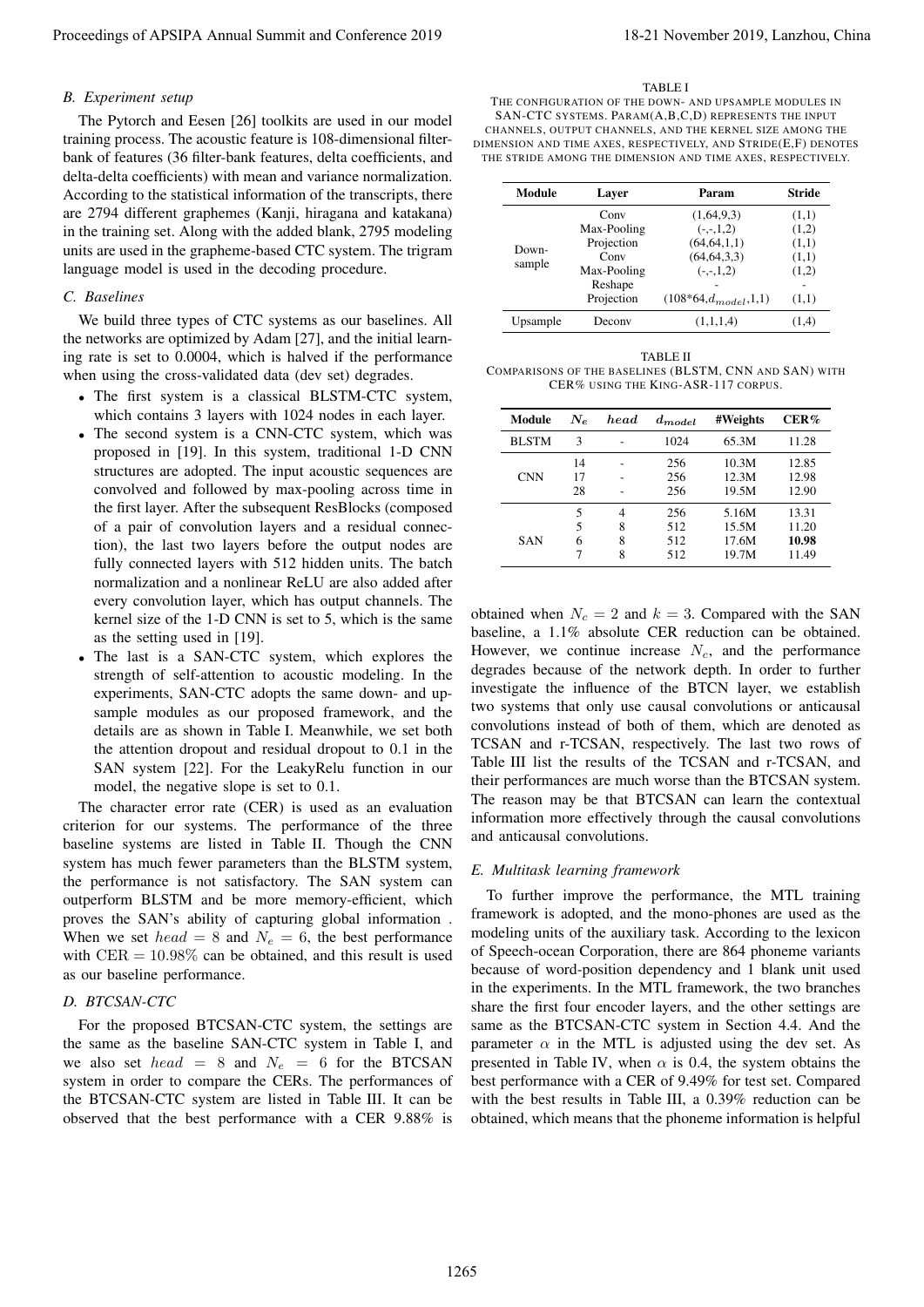## *B. Experiment setup*

The Pytorch and Eesen [26] toolkits are used in our model training process. The acoustic feature is 108-dimensional filterbank of features (36 filter-bank features, delta coefficients, and delta-delta coefficients) with mean and variance normalization. According to the statistical information of the transcripts, there are 2794 different graphemes (Kanji, hiragana and katakana) in the training set. Along with the added blank, 2795 modeling units are used in the grapheme-based CTC system. The trigram language model is used in the decoding procedure.

## *C. Baselines*

We build three types of CTC systems as our baselines. All the networks are optimized by Adam [27], and the initial learning rate is set to 0.0004, which is halved if the performance when using the cross-validated data (dev set) degrades.

- The first system is a classical BLSTM-CTC system, which contains 3 layers with 1024 nodes in each layer.
- The second system is a CNN-CTC system, which was proposed in [19]. In this system, traditional 1-D CNN structures are adopted. The input acoustic sequences are convolved and followed by max-pooling across time in the first layer. After the subsequent ResBlocks (composed of a pair of convolution layers and a residual connection), the last two layers before the output nodes are fully connected layers with 512 hidden units. The batch normalization and a nonlinear ReLU are also added after every convolution layer, which has output channels. The kernel size of the 1-D CNN is set to 5, which is the same as the setting used in [19].
- The last is a SAN-CTC system, which explores the strength of self-attention to acoustic modeling. In the experiments, SAN-CTC adopts the same down- and upsample modules as our proposed framework, and the details are as shown in Table I. Meanwhile, we set both the attention dropout and residual dropout to 0.1 in the SAN system [22]. For the LeakyRelu function in our model, the negative slope is set to 0.1.

The character error rate (CER) is used as an evaluation criterion for our systems. The performance of the three baseline systems are listed in Table II. Though the CNN system has much fewer parameters than the BLSTM system, the performance is not satisfactory. The SAN system can outperform BLSTM and be more memory-efficient, which proves the SAN's ability of capturing global information . When we set  $head = 8$  and  $N_e = 6$ , the best performance with  $CER = 10.98\%$  can be obtained, and this result is used as our baseline performance.

#### *D. BTCSAN-CTC*

For the proposed BTCSAN-CTC system, the settings are the same as the baseline SAN-CTC system in Table I, and we also set head = 8 and  $N_e$  = 6 for the BTCSAN system in order to compare the CERs. The performances of the BTCSAN-CTC system are listed in Table III. It can be observed that the best performance with a CER 9.88% is

#### TABLE I

THE CONFIGURATION OF THE DOWN- AND UPSAMPLE MODULES IN SAN-CTC SYSTEMS. PARAM(A,B,C,D) REPRESENTS THE INPUT CHANNELS, OUTPUT CHANNELS, AND THE KERNEL SIZE AMONG THE DIMENSION AND TIME AXES, RESPECTIVELY, AND STRIDE(E,F) DENOTES THE STRIDE AMONG THE DIMENSION AND TIME AXES, RESPECTIVELY.

| Module   | Laver       | Param                       | <b>Stride</b> |  |
|----------|-------------|-----------------------------|---------------|--|
| Down-    | Conv        | (1,64,9,3)                  | (1,1)         |  |
|          | Max-Pooling | $(-,-,1,2)$                 | (1,2)         |  |
|          | Projection  | (64, 64, 1, 1)              | (1,1)         |  |
|          | Conv        | (64, 64, 3, 3)              | (1,1)         |  |
| sample   | Max-Pooling | $(-,-,1,2)$                 | (1,2)         |  |
|          | Reshape     |                             |               |  |
|          | Projection  | $(108*64, d_{model}, 1, 1)$ | (1,1)         |  |
| Upsample | Deconv      | (1,1,1,4)                   | (1,4)         |  |

| TABLE II                                               |
|--------------------------------------------------------|
| COMPARISONS OF THE BASELINES (BLSTM, CNN AND SAN) WITH |
| CER% USING THE KING-ASR-117 CORPUS.                    |

| Module       | $N_{e}$ | head | $d_{model}$ | #Weights | CER%  |
|--------------|---------|------|-------------|----------|-------|
| <b>BLSTM</b> | 3       |      | 1024        | 65.3M    | 11.28 |
|              | 14      |      | 256         | 10.3M    | 12.85 |
| <b>CNN</b>   | 17      |      | 256         | 12.3M    | 12.98 |
|              | 28      |      | 256         | 19.5M    | 12.90 |
|              | 5       | 4    | 256         | 5.16M    | 13.31 |
|              | 5       | 8    | 512         | 15.5M    | 11.20 |
| SAN          | 6       | 8    | 512         | 17.6M    | 10.98 |
|              |         | 8    | 512         | 19.7M    | 11.49 |

obtained when  $N_c = 2$  and  $k = 3$ . Compared with the SAN baseline, a 1.1% absolute CER reduction can be obtained. However, we continue increase  $N_c$ , and the performance degrades because of the network depth. In order to further investigate the influence of the BTCN layer, we establish two systems that only use causal convolutions or anticausal convolutions instead of both of them, which are denoted as TCSAN and r-TCSAN, respectively. The last two rows of Table III list the results of the TCSAN and r-TCSAN, and their performances are much worse than the BTCSAN system. The reason may be that BTCSAN can learn the contextual information more effectively through the causal convolutions and anticausal convolutions.

#### *E. Multitask learning framework*

To further improve the performance, the MTL training framework is adopted, and the mono-phones are used as the modeling units of the auxiliary task. According to the lexicon of Speech-ocean Corporation, there are 864 phoneme variants because of word-position dependency and 1 blank unit used in the experiments. In the MTL framework, the two branches share the first four encoder layers, and the other settings are same as the BTCSAN-CTC system in Section 4.4. And the parameter  $\alpha$  in the MTL is adjusted using the dev set. As presented in Table IV, when  $\alpha$  is 0.4, the system obtains the best performance with a CER of 9.49% for test set. Compared with the best results in Table III, a 0.39% reduction can be obtained, which means that the phoneme information is helpful Proceedings of APSIPA Annual Summit at China 2019 18-21 November 2019 18-21 November 2019 18-21 November 2019 18-21 November 2019 18-21 November 2019 18-21 November 2019 18-21 November 2019 18-21 November 2019 18-21 Novem